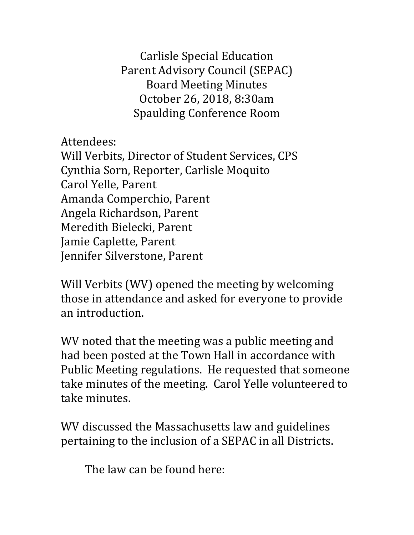Carlisle Special Education Parent Advisory Council (SEPAC) Board Meeting Minutes October 26, 2018, 8:30am Spaulding Conference Room

Attendees:

Will Verbits, Director of Student Services, CPS Cynthia Sorn, Reporter, Carlisle Moquito Carol Yelle, Parent Amanda Comperchio, Parent Angela Richardson, Parent Meredith Bielecki, Parent Jamie Caplette, Parent Jennifer Silverstone, Parent

Will Verbits (WV) opened the meeting by welcoming those in attendance and asked for everyone to provide an introduction.

WV noted that the meeting was a public meeting and had been posted at the Town Hall in accordance with Public Meeting regulations. He requested that someone take minutes of the meeting. Carol Yelle volunteered to take minutes.

WV discussed the Massachusetts law and guidelines pertaining to the inclusion of a SEPAC in all Districts.

The law can be found here: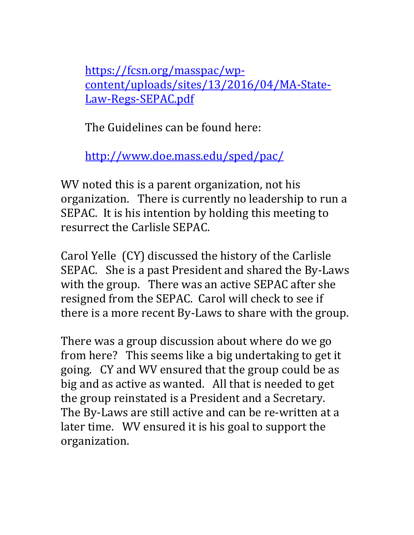https://fcsn.org/masspac/wpcontent/uploads/sites/13/2016/04/MA-State-Law-Regs-SEPAC.pdf

The Guidelines can be found here:

http://www.doe.mass.edu/sped/pac/

WV noted this is a parent organization, not his organization. There is currently no leadership to run a SEPAC. It is his intention by holding this meeting to resurrect the Carlisle SEPAC.

Carol Yelle (CY) discussed the history of the Carlisle SEPAC. She is a past President and shared the By-Laws with the group. There was an active SEPAC after she resigned from the SEPAC. Carol will check to see if there is a more recent By-Laws to share with the group.

There was a group discussion about where do we go from here? This seems like a big undertaking to get it going. CY and WV ensured that the group could be as big and as active as wanted. All that is needed to get the group reinstated is a President and a Secretary. The By-Laws are still active and can be re-written at a later time. WV ensured it is his goal to support the organization.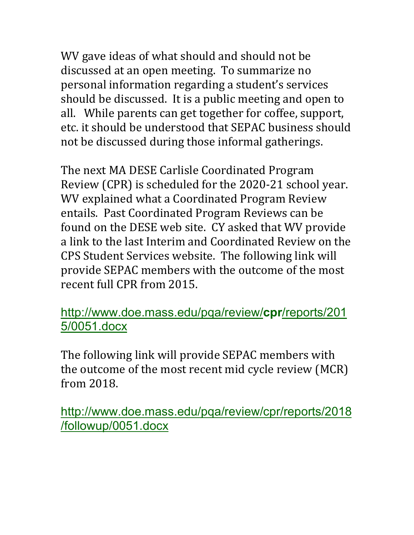WV gave ideas of what should and should not be discussed at an open meeting. To summarize no personal information regarding a student's services should be discussed. It is a public meeting and open to all. While parents can get together for coffee, support, etc. it should be understood that SEPAC business should not be discussed during those informal gatherings.

The next MA DESE Carlisle Coordinated Program Review (CPR) is scheduled for the 2020-21 school year. WV explained what a Coordinated Program Review entails. Past Coordinated Program Reviews can be found on the DESE web site. CY asked that WV provide a link to the last Interim and Coordinated Review on the CPS Student Services website. The following link will provide SEPAC members with the outcome of the most recent full CPR from 2015.

## http://www.doe.mass.edu/pqa/review/**cpr**/reports/201 5/0051.docx

The following link will provide SEPAC members with the outcome of the most recent mid cycle review (MCR) from 2018.

http://www.doe.mass.edu/pqa/review/cpr/reports/2018 /followup/0051.docx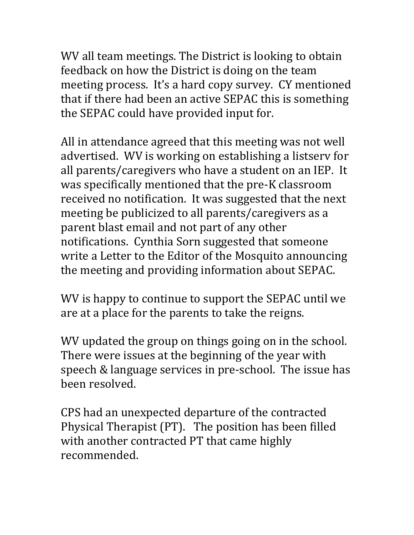WV all team meetings. The District is looking to obtain feedback on how the District is doing on the team meeting process. It's a hard copy survey. CY mentioned that if there had been an active SEPAC this is something the SEPAC could have provided input for.

All in attendance agreed that this meeting was not well advertised. WV is working on establishing a listsery for all parents/caregivers who have a student on an IEP. It was specifically mentioned that the pre-K classroom received no notification. It was suggested that the next meeting be publicized to all parents/caregivers as a parent blast email and not part of any other notifications. Cynthia Sorn suggested that someone write a Letter to the Editor of the Mosquito announcing the meeting and providing information about SEPAC.

WV is happy to continue to support the SEPAC until we are at a place for the parents to take the reigns.

WV updated the group on things going on in the school. There were issues at the beginning of the year with speech & language services in pre-school. The issue has been resolved.

CPS had an unexpected departure of the contracted Physical Therapist (PT). The position has been filled with another contracted PT that came highly recommended.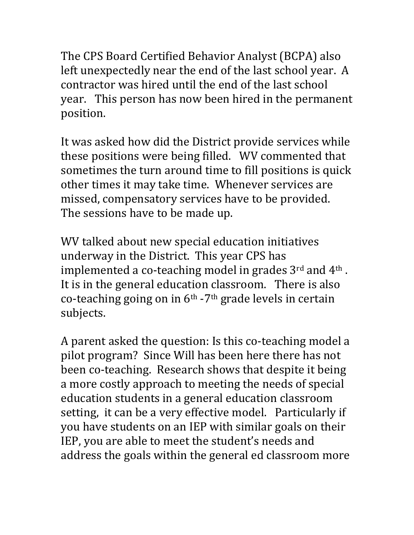The CPS Board Certified Behavior Analyst (BCPA) also left unexpectedly near the end of the last school year. A contractor was hired until the end of the last school year. This person has now been hired in the permanent position.

It was asked how did the District provide services while these positions were being filled. WV commented that sometimes the turn around time to fill positions is quick other times it may take time. Whenever services are missed, compensatory services have to be provided. The sessions have to be made up.

WV talked about new special education initiatives underway in the District. This year CPS has implemented a co-teaching model in grades  $3^{\text{rd}}$  and  $4^{\text{th}}$ . It is in the general education classroom. There is also co-teaching going on in  $6<sup>th</sup>$  -7<sup>th</sup> grade levels in certain subjects. 

A parent asked the question: Is this co-teaching model a pilot program? Since Will has been here there has not been co-teaching. Research shows that despite it being a more costly approach to meeting the needs of special education students in a general education classroom setting, it can be a very effective model. Particularly if you have students on an IEP with similar goals on their IEP, you are able to meet the student's needs and address the goals within the general ed classroom more